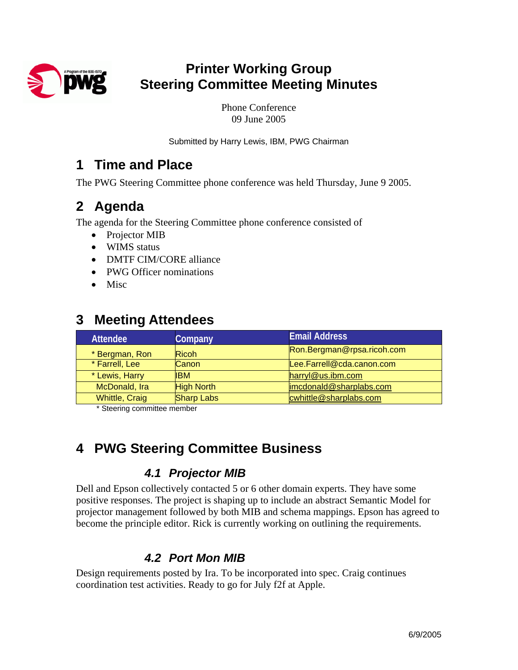

## **Printer Working Group Steering Committee Meeting Minutes**

Phone Conference 09 June 2005

Submitted by Harry Lewis, IBM, PWG Chairman

### **1 Time and Place**

The PWG Steering Committee phone conference was held Thursday, June 9 2005.

## **2 Agenda**

The agenda for the Steering Committee phone conference consisted of

- Projector MIB
- WIMS status
- DMTF CIM/CORE alliance
- PWG Officer nominations
- Misc

### **3 Meeting Attendees**

| <b>Attendee</b>       | Company           | <b>Email Address</b>       |
|-----------------------|-------------------|----------------------------|
| * Bergman, Ron        | <b>Ricoh</b>      | Ron.Bergman@rpsa.ricoh.com |
| * Farrell, Lee        | <b>Canon</b>      | Lee.Farrell@cda.canon.com  |
| * Lewis, Harry        | <b>IBM</b>        | harryl@us.ibm.com          |
| McDonald, Ira         | <b>High North</b> | imcdonald@sharplabs.com    |
| <b>Whittle, Craig</b> | <b>Sharp Labs</b> | cwhittle@sharplabs.com     |

\* Steering committee member

# **4 PWG Steering Committee Business**

#### *4.1 Projector MIB*

Dell and Epson collectively contacted 5 or 6 other domain experts. They have some positive responses. The project is shaping up to include an abstract Semantic Model for projector management followed by both MIB and schema mappings. Epson has agreed to become the principle editor. Rick is currently working on outlining the requirements.

#### *4.2 Port Mon MIB*

Design requirements posted by Ira. To be incorporated into spec. Craig continues coordination test activities. Ready to go for July f2f at Apple.